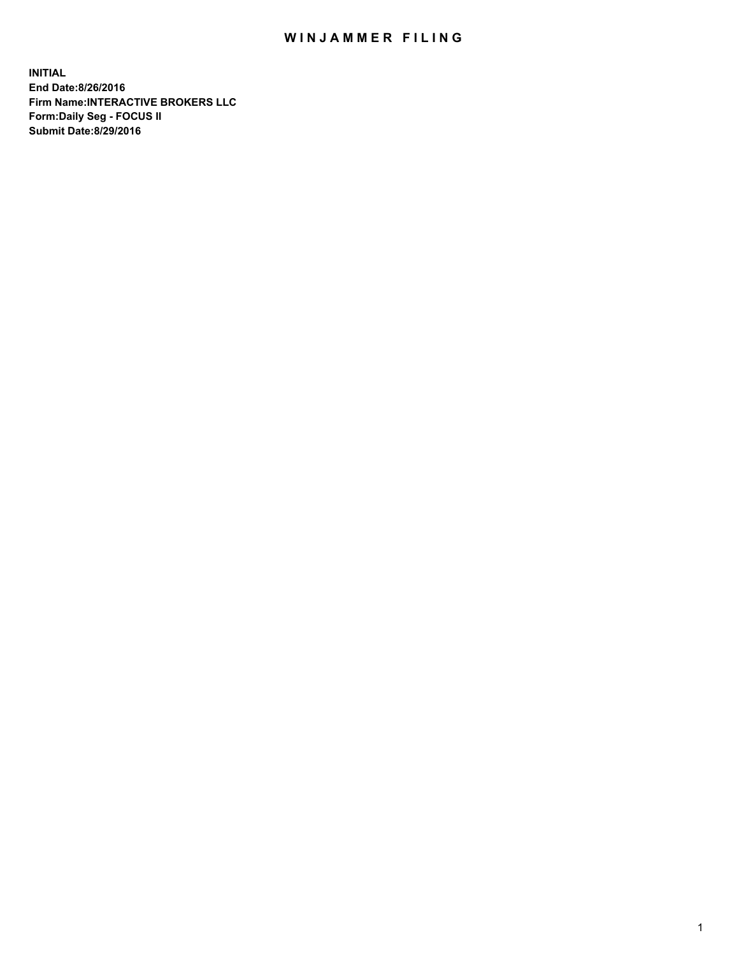## WIN JAMMER FILING

**INITIAL End Date:8/26/2016 Firm Name:INTERACTIVE BROKERS LLC Form:Daily Seg - FOCUS II Submit Date:8/29/2016**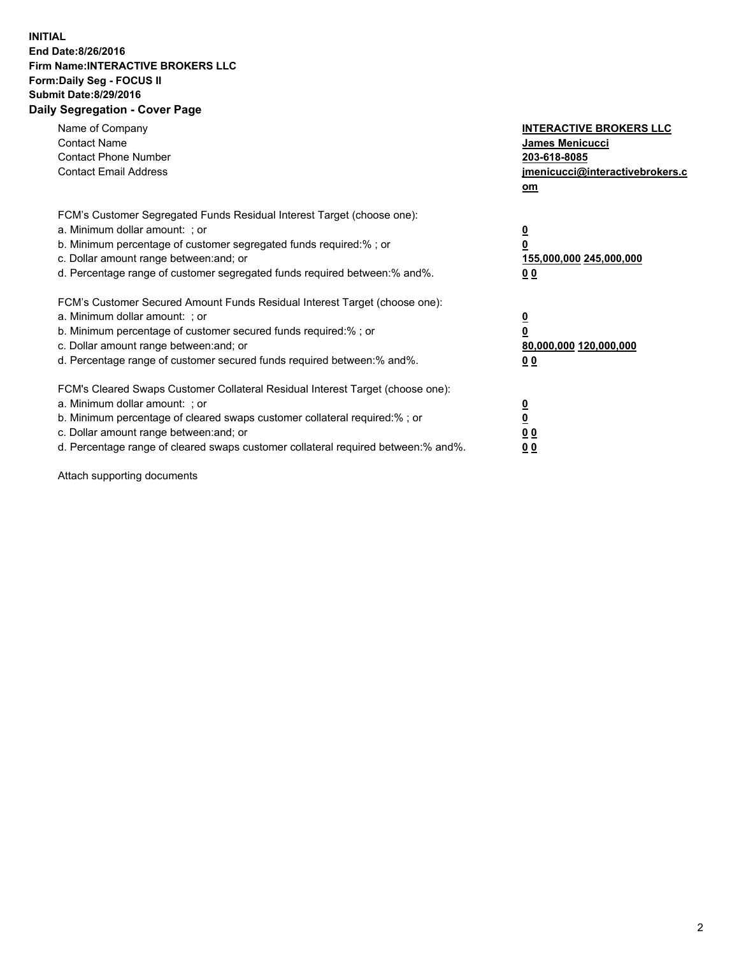## **INITIAL End Date:8/26/2016 Firm Name:INTERACTIVE BROKERS LLC Form:Daily Seg - FOCUS II Submit Date:8/29/2016 Daily Segregation - Cover Page**

| Name of Company<br><b>Contact Name</b><br><b>Contact Phone Number</b><br><b>Contact Email Address</b>                                                                                                                                                                                                                          | <b>INTERACTIVE BROKERS LLC</b><br>James Menicucci<br>203-618-8085<br>jmenicucci@interactivebrokers.c<br>om |
|--------------------------------------------------------------------------------------------------------------------------------------------------------------------------------------------------------------------------------------------------------------------------------------------------------------------------------|------------------------------------------------------------------------------------------------------------|
| FCM's Customer Segregated Funds Residual Interest Target (choose one):<br>a. Minimum dollar amount: ; or<br>b. Minimum percentage of customer segregated funds required:% ; or<br>c. Dollar amount range between: and; or<br>d. Percentage range of customer segregated funds required between:% and%.                         | $\overline{\mathbf{0}}$<br>0<br>155,000,000 245,000,000<br>0 <sub>0</sub>                                  |
| FCM's Customer Secured Amount Funds Residual Interest Target (choose one):<br>a. Minimum dollar amount: ; or<br>b. Minimum percentage of customer secured funds required:%; or<br>c. Dollar amount range between: and; or<br>d. Percentage range of customer secured funds required between: % and %.                          | $\overline{\mathbf{0}}$<br>0<br>80,000,000 120,000,000<br>0 <sub>0</sub>                                   |
| FCM's Cleared Swaps Customer Collateral Residual Interest Target (choose one):<br>a. Minimum dollar amount: ; or<br>b. Minimum percentage of cleared swaps customer collateral required:% ; or<br>c. Dollar amount range between: and; or<br>d. Percentage range of cleared swaps customer collateral required between:% and%. | $\overline{\mathbf{0}}$<br>$\overline{\mathbf{0}}$<br>0 <sub>0</sub><br>0 <sub>0</sub>                     |

Attach supporting documents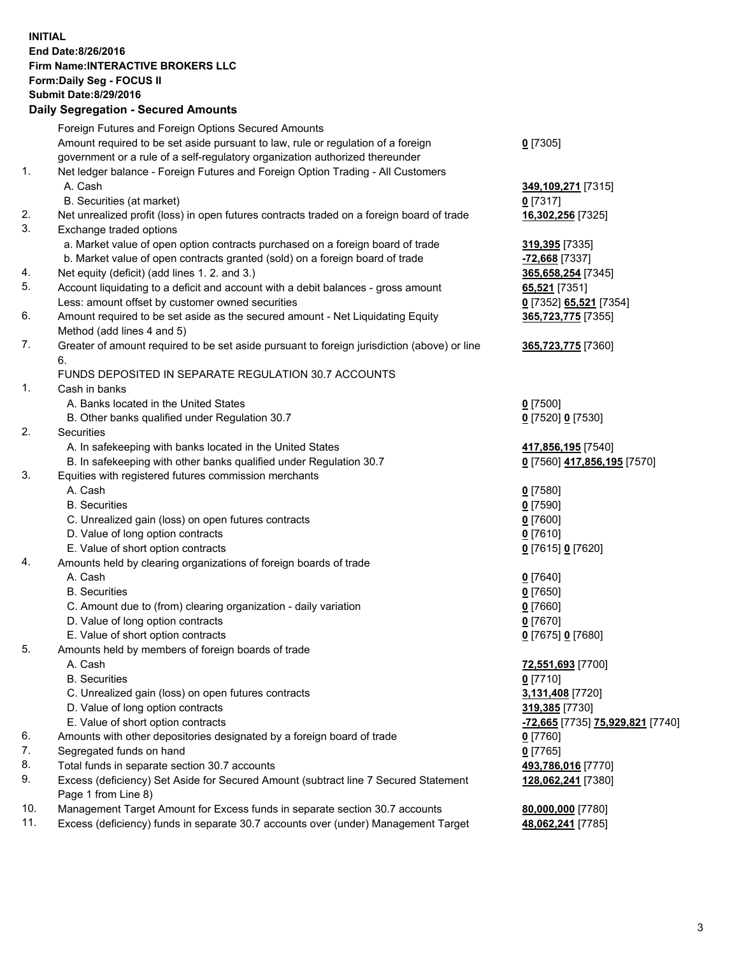## **INITIAL End Date:8/26/2016 Firm Name:INTERACTIVE BROKERS LLC Form:Daily Seg - FOCUS II Submit Date:8/29/2016 Daily Segregation - Secured Amounts**

|     | Daily Jegregation - Jeculed Aniounts                                                                       |                                  |
|-----|------------------------------------------------------------------------------------------------------------|----------------------------------|
|     | Foreign Futures and Foreign Options Secured Amounts                                                        |                                  |
|     | Amount required to be set aside pursuant to law, rule or regulation of a foreign                           | $0$ [7305]                       |
|     | government or a rule of a self-regulatory organization authorized thereunder                               |                                  |
| 1.  | Net ledger balance - Foreign Futures and Foreign Option Trading - All Customers                            |                                  |
|     | A. Cash                                                                                                    | 349,109,271 [7315]               |
|     | B. Securities (at market)                                                                                  | $0$ [7317]                       |
| 2.  | Net unrealized profit (loss) in open futures contracts traded on a foreign board of trade                  | 16,302,256 [7325]                |
| 3.  | Exchange traded options                                                                                    |                                  |
|     | a. Market value of open option contracts purchased on a foreign board of trade                             | 319,395 [7335]                   |
|     | b. Market value of open contracts granted (sold) on a foreign board of trade                               | -72,668 [7337]                   |
| 4.  | Net equity (deficit) (add lines 1.2. and 3.)                                                               | 365,658,254 [7345]               |
| 5.  | Account liquidating to a deficit and account with a debit balances - gross amount                          | 65,521 [7351]                    |
|     | Less: amount offset by customer owned securities                                                           | 0 [7352] 65,521 [7354]           |
| 6.  | Amount required to be set aside as the secured amount - Net Liquidating Equity                             | 365,723,775 [7355]               |
|     | Method (add lines 4 and 5)                                                                                 |                                  |
| 7.  | Greater of amount required to be set aside pursuant to foreign jurisdiction (above) or line                | 365,723,775 [7360]               |
|     | 6.                                                                                                         |                                  |
|     | FUNDS DEPOSITED IN SEPARATE REGULATION 30.7 ACCOUNTS                                                       |                                  |
| 1.  | Cash in banks                                                                                              |                                  |
|     | A. Banks located in the United States                                                                      | $0$ [7500]                       |
|     | B. Other banks qualified under Regulation 30.7                                                             | 0 [7520] 0 [7530]                |
| 2.  | Securities                                                                                                 |                                  |
|     | A. In safekeeping with banks located in the United States                                                  | 417,856,195 <sup>[7540]</sup>    |
|     | B. In safekeeping with other banks qualified under Regulation 30.7                                         | 0 [7560] 417,856,195 [7570]      |
| 3.  | Equities with registered futures commission merchants                                                      |                                  |
|     | A. Cash                                                                                                    | $0$ [7580]                       |
|     | <b>B.</b> Securities                                                                                       | $0$ [7590]                       |
|     | C. Unrealized gain (loss) on open futures contracts                                                        | $0$ [7600]                       |
|     | D. Value of long option contracts                                                                          | $0$ [7610]                       |
|     | E. Value of short option contracts                                                                         | 0 [7615] 0 [7620]                |
| 4.  | Amounts held by clearing organizations of foreign boards of trade                                          |                                  |
|     | A. Cash                                                                                                    | $0$ [7640]                       |
|     | <b>B.</b> Securities                                                                                       | $0$ [7650]                       |
|     | C. Amount due to (from) clearing organization - daily variation                                            | $0$ [7660]                       |
|     | D. Value of long option contracts                                                                          | $0$ [7670]                       |
|     | E. Value of short option contracts                                                                         | 0 [7675] 0 [7680]                |
| 5.  | Amounts held by members of foreign boards of trade                                                         |                                  |
|     | A. Cash                                                                                                    | 72,551,693 [7700]                |
|     | <b>B.</b> Securities                                                                                       | $0$ [7710]                       |
|     | C. Unrealized gain (loss) on open futures contracts                                                        | 3,131,408 [7720]                 |
|     | D. Value of long option contracts                                                                          | 319,385 [7730]                   |
|     | E. Value of short option contracts                                                                         | -72,665 [7735] 75,929,821 [7740] |
| 6.  | Amounts with other depositories designated by a foreign board of trade                                     | 0 [7760]                         |
| 7.  | Segregated funds on hand                                                                                   | $0$ [7765]                       |
| 8.  | Total funds in separate section 30.7 accounts                                                              | 493,786,016 [7770]               |
| 9.  | Excess (deficiency) Set Aside for Secured Amount (subtract line 7 Secured Statement<br>Page 1 from Line 8) | 128,062,241 [7380]               |
| 10. | Management Target Amount for Excess funds in separate section 30.7 accounts                                | 80,000,000 [7780]                |
| 11. | Excess (deficiency) funds in separate 30.7 accounts over (under) Management Target                         | 48,062,241 [7785]                |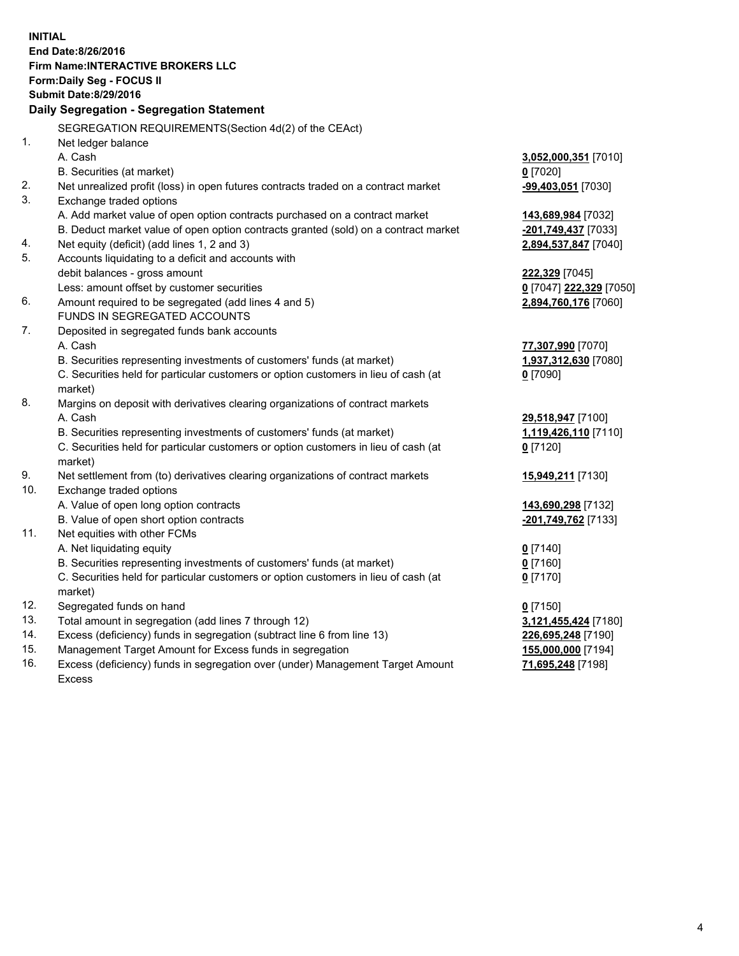**INITIAL End Date:8/26/2016 Firm Name:INTERACTIVE BROKERS LLC Form:Daily Seg - FOCUS II Submit Date:8/29/2016 Daily Segregation - Segregation Statement** SEGREGATION REQUIREMENTS(Section 4d(2) of the CEAct) 1. Net ledger balance A. Cash **3,052,000,351** [7010] B. Securities (at market) **0** [7020] 2. Net unrealized profit (loss) in open futures contracts traded on a contract market **-99,403,051** [7030] 3. Exchange traded options A. Add market value of open option contracts purchased on a contract market **143,689,984** [7032] B. Deduct market value of open option contracts granted (sold) on a contract market **-201,749,437** [7033] 4. Net equity (deficit) (add lines 1, 2 and 3) **2,894,537,847** [7040] 5. Accounts liquidating to a deficit and accounts with debit balances - gross amount **222,329** [7045] Less: amount offset by customer securities **0** [7047] **222,329** [7050] 6. Amount required to be segregated (add lines 4 and 5) **2,894,760,176** [7060] FUNDS IN SEGREGATED ACCOUNTS 7. Deposited in segregated funds bank accounts A. Cash **77,307,990** [7070] B. Securities representing investments of customers' funds (at market) **1,937,312,630** [7080] C. Securities held for particular customers or option customers in lieu of cash (at market) **0** [7090] 8. Margins on deposit with derivatives clearing organizations of contract markets A. Cash **29,518,947** [7100] B. Securities representing investments of customers' funds (at market) **1,119,426,110** [7110] C. Securities held for particular customers or option customers in lieu of cash (at market) **0** [7120] 9. Net settlement from (to) derivatives clearing organizations of contract markets **15,949,211** [7130] 10. Exchange traded options A. Value of open long option contracts **143,690,298** [7132] B. Value of open short option contracts **-201,749,762** [7133] 11. Net equities with other FCMs A. Net liquidating equity **0** [7140] B. Securities representing investments of customers' funds (at market) **0** [7160] C. Securities held for particular customers or option customers in lieu of cash (at market) **0** [7170] 12. Segregated funds on hand **0** [7150] 13. Total amount in segregation (add lines 7 through 12) **3,121,455,424** [7180] 14. Excess (deficiency) funds in segregation (subtract line 6 from line 13) **226,695,248** [7190] 15. Management Target Amount for Excess funds in segregation **155,000,000** [7194] **71,695,248** [7198]

16. Excess (deficiency) funds in segregation over (under) Management Target Amount Excess